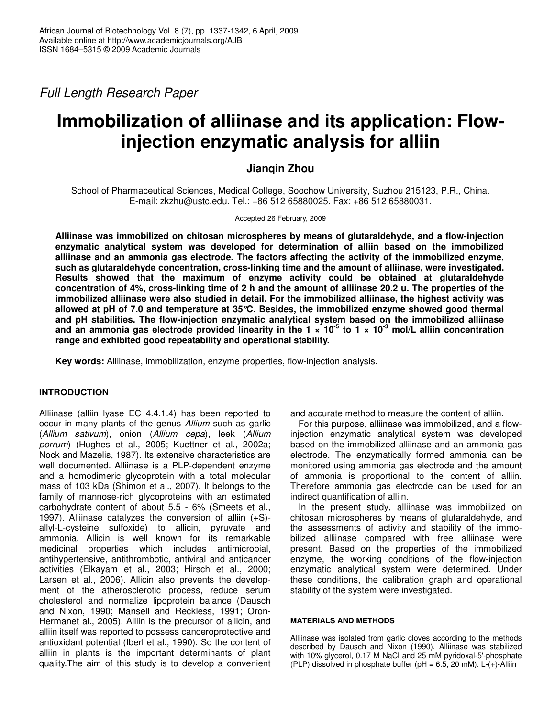*Full Length Research Paper*

# **Immobilization of alliinase and its application: Flowinjection enzymatic analysis for alliin**

# **Jianqin Zhou**

School of Pharmaceutical Sciences, Medical College, Soochow University, Suzhou 215123, P.R., China. E-mail: zkzhu@ustc.edu. Tel.: +86 512 65880025. Fax: +86 512 65880031.

Accepted 26 February, 2009

**Alliinase was immobilized on chitosan microspheres by means of glutaraldehyde, and a flow-injection enzymatic analytical system was developed for determination of alliin based on the immobilized alliinase and an ammonia gas electrode. The factors affecting the activity of the immobilized enzyme, such as glutaraldehyde concentration, cross-linking time and the amount of alliinase, were investigated. Results showed that the maximum of enzyme activity could be obtained at glutaraldehyde** concentration of 4%, cross-linking time of 2 h and the amount of alliinase 20.2 u. The properties of the **immobilized alliinase were also studied in detail. For the immobilized alliinase, the highest activity was allowed at pH of 7.0 and temperature at 35°C. Besides, the immobilized enzyme showed good thermal and pH stabilities. The flow-injection enzymatic analytical system based on the immobilized alliinase** and an ammonia gas electrode provided linearity in the 1  $\times$  10<sup>-5</sup> to 1  $\times$  10<sup>-3</sup> mol/L alliin concentration **range and exhibited good repeatability and operational stability.**

**Key words:** Alliinase, immobilization, enzyme properties, flow-injection analysis.

# **INTRODUCTION**

Alliinase (alliin lyase EC 4.4.1.4) has been reported to occur in many plants of the genus *Allium* such as garlic (*Allium sativum*), onion (*Allium cepa*), leek (*Allium porrum*) (Hughes et al., 2005; Kuettner et al., 2002a; Nock and Mazelis, 1987). Its extensive characteristics are well documented. Alliinase is a PLP-dependent enzyme and a homodimeric glycoprotein with a total molecular mass of 103 kDa (Shimon et al., 2007). It belongs to the family of mannose-rich glycoproteins with an estimated carbohydrate content of about 5.5 - 6% (Smeets et al., 1997). Alliinase catalyzes the conversion of alliin (+S) allyl-L-cysteine sulfoxide) to allicin, pyruvate and ammonia. Allicin is well known for its remarkable medicinal properties which includes antimicrobial, antihypertensive, antithrombotic, antiviral and anticancer activities (Elkayam et al., 2003; Hirsch et al., 2000; Larsen et al., 2006). Allicin also prevents the development of the atherosclerotic process, reduce serum cholesterol and normalize lipoprotein balance (Dausch and Nixon, 1990; Mansell and Reckless, 1991; Oron-Hermanet al., 2005). Alliin is the precursor of allicin, and alliin itself was reported to possess canceroprotective and antioxidant potential (Iberl et al., 1990). So the content of alliin in plants is the important determinants of plant quality.The aim of this study is to develop a convenient and accurate method to measure the content of alliin.

For this purpose, alliinase was immobilized, and a flowinjection enzymatic analytical system was developed based on the immobilized alliinase and an ammonia gas electrode. The enzymatically formed ammonia can be monitored using ammonia gas electrode and the amount of ammonia is proportional to the content of alliin. Therefore ammonia gas electrode can be used for an indirect quantification of alliin.

In the present study, alliinase was immobilized on chitosan microspheres by means of glutaraldehyde, and the assessments of activity and stability of the immobilized alliinase compared with free alliinase were present. Based on the properties of the immobilized enzyme, the working conditions of the flow-injection enzymatic analytical system were determined. Under these conditions, the calibration graph and operational stability of the system were investigated.

# **MATERIALS AND METHODS**

Alliinase was isolated from garlic cloves according to the methods described by Dausch and Nixon (1990). Alliinase was stabilized with 10% glycerol, 0.17 M NaCl and 25 mM pyridoxal-5'-phosphate (PLP) dissolved in phosphate buffer (pH =  $6.5$ , 20 mM). L-( $+$ )-Alliin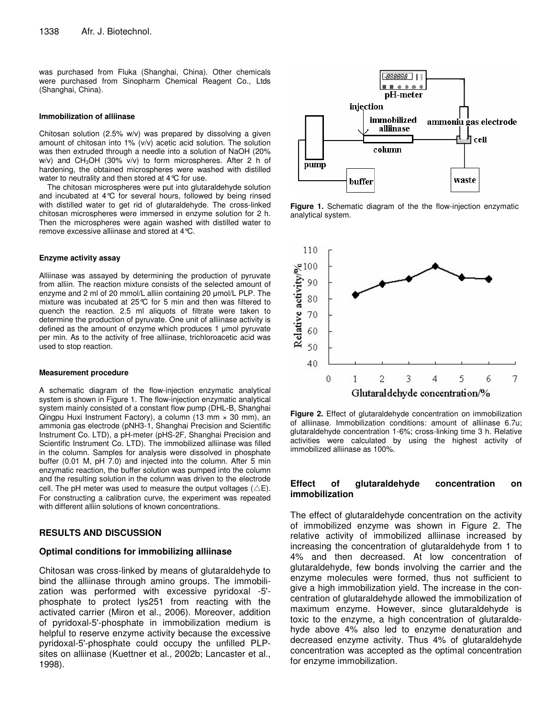was purchased from Fluka (Shanghai, China). Other chemicals were purchased from Sinopharm Chemical Reagent Co., Ltds (Shanghai, China).

#### **Immobilization of alliinase**

Chitosan solution (2.5% w/v) was prepared by dissolving a given amount of chitosan into 1% (v/v) acetic acid solution. The solution was then extruded through a needle into a solution of NaOH (20% w/v) and CH<sub>3</sub>OH (30% v/v) to form microspheres. After 2 h of hardening, the obtained microspheres were washed with distilled water to neutrality and then stored at 4°C for use.

The chitosan microspheres were put into glutaraldehyde solution and incubated at 4°C for several hours, followed by being rinsed with distilled water to get rid of glutaraldehyde. The cross-linked chitosan microspheres were immersed in enzyme solution for 2 h. Then the microspheres were again washed with distilled water to remove excessive alliinase and stored at 4°C.

#### **Enzyme activity assay**

Alliinase was assayed by determining the production of pyruvate from alliin. The reaction mixture consists of the selected amount of enzyme and 2 ml of 20 mmol/L alliin containing 20 µmol/L PLP. The mixture was incubated at 25°C for 5 min and then was filtered to quench the reaction. 2.5 ml aliquots of filtrate were taken to determine the production of pyruvate. One unit of alliinase activity is defined as the amount of enzyme which produces 1 µmol pyruvate per min. As to the activity of free alliinase, trichloroacetic acid was used to stop reaction.

#### **Measurement procedure**

A schematic diagram of the flow-injection enzymatic analytical system is shown in Figure 1. The flow-injection enzymatic analytical system mainly consisted of a constant flow pump (DHL-B, Shanghai Qingpu Huxi Instrument Factory), a column (13 mm × 30 mm), an ammonia gas electrode (pNH3-1, Shanghai Precision and Scientific Instrument Co. LTD), a pH-meter (pHS-2F, Shanghai Precision and Scientific Instrument Co. LTD). The immobilized alliinase was filled in the column. Samples for analysis were dissolved in phosphate buffer (0.01 M, pH 7.0) and injected into the column. After 5 min enzymatic reaction, the buffer solution was pumped into the column and the resulting solution in the column was driven to the electrode cell. The pH meter was used to measure the output voltages ( $\triangle E$ ). For constructing a calibration curve, the experiment was repeated with different alliin solutions of known concentrations.

# **RESULTS AND DISCUSSION**

#### **Optimal conditions for immobilizing alliinase**

Chitosan was cross-linked by means of glutaraldehyde to bind the alliinase through amino groups. The immobilization was performed with excessive pyridoxal -5' phosphate to protect lys251 from reacting with the activated carrier (Miron et al., 2006). Moreover, addition of pyridoxal-5'-phosphate in immobilization medium is helpful to reserve enzyme activity because the excessive pyridoxal-5'-phosphate could occupy the unfilled PLPsites on alliinase (Kuettner et al., 2002b; Lancaster et al., 1998).



**Figure 1.** Schematic diagram of the the flow-injection enzymatic analytical system.



**Figure 2.** Effect of glutaraldehyde concentration on immobilization of alliinase. Immobilization conditions: amount of alliinase 6.7u; glutaraldehyde concentration 1-6%; cross-linking time 3 h. Relative activities were calculated by using the highest activity of immobilized alliinase as 100%.

# **Effect of glutaraldehyde concentration on immobilization**

The effect of glutaraldehyde concentration on the activity of immobilized enzyme was shown in Figure 2. The relative activity of immobilized alliinase increased by increasing the concentration of glutaraldehyde from 1 to 4% and then decreased. At low concentration of glutaraldehyde, few bonds involving the carrier and the enzyme molecules were formed, thus not sufficient to give a high immobilization yield. The increase in the concentration of glutaraldehyde allowed the immobilization of maximum enzyme. However, since glutaraldehyde is toxic to the enzyme, a high concentration of glutaraldehyde above 4% also led to enzyme denaturation and decreased enzyme activity. Thus 4% of glutaraldehyde concentration was accepted as the optimal concentration for enzyme immobilization.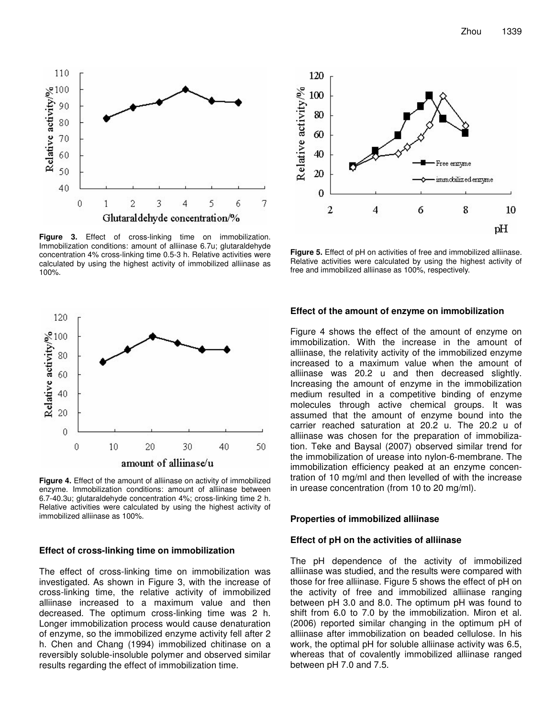

**Figure 3.** Effect of cross-linking time on immobilization. Immobilization conditions: amount of alliinase 6.7u; glutaraldehyde concentration 4% cross-linking time 0.5-3 h. Relative activities were calculated by using the highest activity of immobilized alliinase as 100%.



**Figure 4.** Effect of the amount of alliinase on activity of immobilized enzyme. Immobilization conditions: amount of alliinase between 6.7-40.3u; glutaraldehyde concentration 4%; cross-linking time 2 h. Relative activities were calculated by using the highest activity of immobilized alliinase as 100%.

#### **Effect of cross-linking time on immobilization**

The effect of cross-linking time on immobilization was investigated. As shown in Figure 3, with the increase of cross-linking time, the relative activity of immobilized alliinase increased to a maximum value and then decreased. The optimum cross-linking time was 2 h. Longer immobilization process would cause denaturation of enzyme, so the immobilized enzyme activity fell after 2 h. Chen and Chang (1994) immobilized chitinase on a reversibly soluble-insoluble polymer and observed similar results regarding the effect of immobilization time.



**Figure 5.** Effect of pH on activities of free and immobilized alliinase. Relative activities were calculated by using the highest activity of free and immobilized alliinase as 100%, respectively.

#### **Effect of the amount of enzyme on immobilization**

Figure 4 shows the effect of the amount of enzyme on immobilization. With the increase in the amount of alliinase, the relativity activity of the immobilized enzyme increased to a maximum value when the amount of alliinase was 20.2 u and then decreased slightly. Increasing the amount of enzyme in the immobilization medium resulted in a competitive binding of enzyme molecules through active chemical groups. It was assumed that the amount of enzyme bound into the carrier reached saturation at 20.2 u. The 20.2 u of alliinase was chosen for the preparation of immobilization. Teke and Baysal (2007) observed similar trend for the immobilization of urease into nylon-6-membrane. The immobilization efficiency peaked at an enzyme concentration of 10 mg/ml and then levelled of with the increase in urease concentration (from 10 to 20 mg/ml).

#### **Properties of immobilized alliinase**

#### **Effect of pH on the activities of alliinase**

The pH dependence of the activity of immobilized alliinase was studied, and the results were compared with those for free alliinase. Figure 5 shows the effect of pH on the activity of free and immobilized alliinase ranging between pH 3.0 and 8.0. The optimum pH was found to shift from 6.0 to 7.0 by the immobilization. Miron et al. (2006) reported similar changing in the optimum pH of alliinase after immobilization on beaded cellulose. In his work, the optimal pH for soluble alliinase activity was 6.5, whereas that of covalently immobilized alliinase ranged between pH 7.0 and 7.5.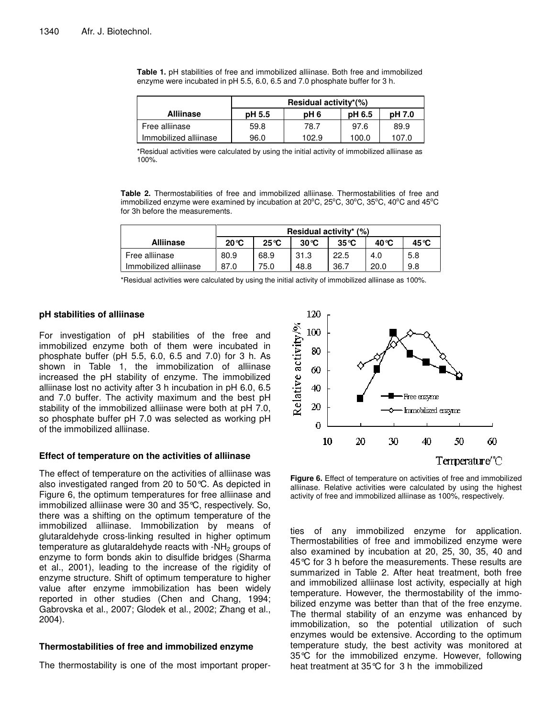|                       | Residual activity*(%) |       |        |        |  |  |  |
|-----------------------|-----------------------|-------|--------|--------|--|--|--|
| <b>Alliinase</b>      | pH 5.5                | pH 6  | pH 6.5 | pH 7.0 |  |  |  |
| Free alliinase        | 59.8                  | 78.7  | 97.6   | 89.9   |  |  |  |
| Immobilized alliinase | 96.0                  | 102.9 | 100.0  | 107.0  |  |  |  |

**Table 1.** pH stabilities of free and immobilized alliinase. Both free and immobilized enzyme were incubated in pH 5.5, 6.0, 6.5 and 7.0 phosphate buffer for 3 h.

\*Residual activities were calculated by using the initial activity of immobilized alliinase as 100%.

**Table 2.** Thermostabilities of free and immobilized alliinase. Thermostabilities of free and immobilized enzyme were examined by incubation at 20 $^{\circ}$ C, 25 $^{\circ}$ C, 30 $^{\circ}$ C, 35 $^{\circ}$ C, 40 $^{\circ}$ C and 45 $^{\circ}$ C for 3h before the measurements.

|                       | Residual activity* $(\%)$ |                |                |                |       |       |  |
|-----------------------|---------------------------|----------------|----------------|----------------|-------|-------|--|
| <b>Alliinase</b>      | $20^{\circ}C$             | $25^{\circ}$ C | $30^{\circ}$ C | $35^{\circ}$ C | 40 °C | 45 °C |  |
| Free alliinase        | 80.9                      | 68.9           | 31.3           | 22.5           | 4.0   | 5.8   |  |
| Immobilized alliinase | 87.0                      | 75.0           | 48.8           | 36.7           | 20.0  | 9.8   |  |

\*Residual activities were calculated by using the initial activity of immobilized alliinase as 100%.

# **pH stabilities of alliinase**

For investigation of pH stabilities of the free and immobilized enzyme both of them were incubated in phosphate buffer (pH 5.5, 6.0, 6.5 and 7.0) for 3 h. As shown in Table 1, the immobilization of alliinase increased the pH stability of enzyme. The immobilized alliinase lost no activity after 3 h incubation in pH 6.0, 6.5 and 7.0 buffer. The activity maximum and the best pH stability of the immobilized alliinase were both at pH 7.0, so phosphate buffer pH 7.0 was selected as working pH of the immobilized alliinase.

# **Effect of temperature on the activities of alliinase**

The effect of temperature on the activities of alliinase was also investigated ranged from 20 to 50°C. As depicted in Figure 6, the optimum temperatures for free alliinase and immobilized alliinase were 30 and 35°C, respectively. So, there was a shifting on the optimum temperature of the immobilized alliinase. Immobilization by means of glutaraldehyde cross-linking resulted in higher optimum temperature as glutaraldehyde reacts with  $-MH<sub>2</sub>$  groups of enzyme to form bonds akin to disulfide bridges (Sharma et al., 2001), leading to the increase of the rigidity of enzyme structure. Shift of optimum temperature to higher value after enzyme immobilization has been widely reported in other studies (Chen and Chang, 1994; Gabrovska et al., 2007; Glodek et al., 2002; Zhang et al., 2004).

# **Thermostabilities of free and immobilized enzyme**

The thermostability is one of the most important proper-



**Figure 6.** Effect of temperature on activities of free and immobilized alliinase. Relative activities were calculated by using the highest activity of free and immobilized alliinase as 100%, respectively.

ties of any immobilized enzyme for application. Thermostabilities of free and immobilized enzyme were also examined by incubation at 20, 25, 30, 35, 40 and 45°C for 3 h before the measurements. These results are summarized in Table 2. After heat treatment, both free and immobilized alliinase lost activity, especially at high temperature. However, the thermostability of the immobilized enzyme was better than that of the free enzyme. The thermal stability of an enzyme was enhanced by immobilization, so the potential utilization of such enzymes would be extensive. According to the optimum temperature study, the best activity was monitored at 35°C for the immobilized enzyme. However, following heat treatment at 35°C for 3 h the immobilized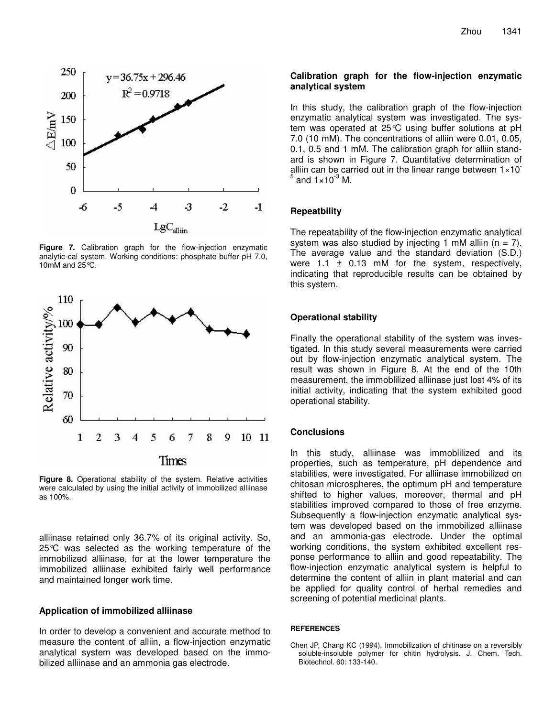

**Figure 7.** Calibration graph for the flow-injection enzymatic analytic-cal system. Working conditions: phosphate buffer pH 7.0, 10mM and 25°C.



**Figure 8.** Operational stability of the system. Relative activities were calculated by using the initial activity of immobilized alliinase as 100%.

alliinase retained only 36.7% of its original activity. So, 25°C was selected as the working temperature of the immobilized alliinase, for at the lower temperature the immobilized alliinase exhibited fairly well performance and maintained longer work time.

#### **Application of immobilized alliinase**

In order to develop a convenient and accurate method to measure the content of alliin, a flow-injection enzymatic analytical system was developed based on the immobilized alliinase and an ammonia gas electrode.

# **Calibration graph for the flow-injection enzymatic analytical system**

In this study, the calibration graph of the flow-injection enzymatic analytical system was investigated. The system was operated at 25°C using buffer solutions at pH 7.0 (10 mM). The concentrations of alliin were 0.01, 0.05, 0.1, 0.5 and 1 mM. The calibration graph for alliin standard is shown in Figure 7. Quantitative determination of alliin can be carried out in the linear range between 1×10 5 and  $1\times10^{-3}$  M.

#### **Repeatbility**

The repeatability of the flow-injection enzymatic analytical system was also studied by injecting 1 mM alliin ( $n = 7$ ). The average value and the standard deviation (S.D.) were  $1.1 \pm 0.13$  mM for the system, respectively, indicating that reproducible results can be obtained by this system.

## **Operational stability**

Finally the operational stability of the system was investigated. In this study several measurements were carried out by flow-injection enzymatic analytical system. The result was shown in Figure 8. At the end of the 10th measurement, the immoblilized alliinase just lost 4% of its initial activity, indicating that the system exhibited good operational stability.

# **Conclusions**

In this study, alliinase was immoblilized and its properties, such as temperature, pH dependence and stabilities, were investigated. For alliinase immobilized on chitosan microspheres, the optimum pH and temperature shifted to higher values, moreover, thermal and pH stabilities improved compared to those of free enzyme. Subsequently a flow-injection enzymatic analytical system was developed based on the immobilized alliinase and an ammonia-gas electrode. Under the optimal working conditions, the system exhibited excellent response performance to alliin and good repeatability. The flow-injection enzymatic analytical system is helpful to determine the content of alliin in plant material and can be applied for quality control of herbal remedies and screening of potential medicinal plants.

## **REFERENCES**

Chen JP, Chang KC (1994). Immobilization of chitinase on a reversibly soluble-insoluble polymer for chitin hydrolysis. J. Chem. Tech. Biotechnol. 60: 133-140.